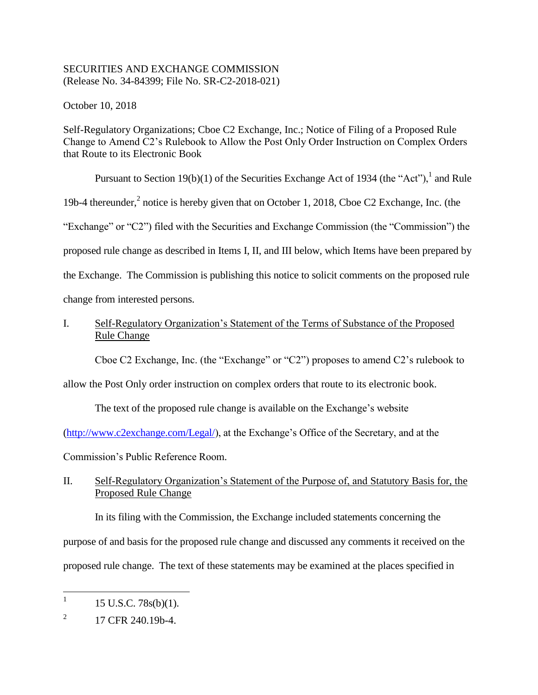## SECURITIES AND EXCHANGE COMMISSION (Release No. 34-84399; File No. SR-C2-2018-021)

October 10, 2018

Self-Regulatory Organizations; Cboe C2 Exchange, Inc.; Notice of Filing of a Proposed Rule Change to Amend C2's Rulebook to Allow the Post Only Order Instruction on Complex Orders that Route to its Electronic Book

Pursuant to Section 19(b)(1) of the Securities Exchange Act of 1934 (the "Act"),  $^1$  and Rule 19b-4 thereunder, $<sup>2</sup>$  notice is hereby given that on October 1, 2018, Cboe C2 Exchange, Inc. (the</sup> "Exchange" or "C2") filed with the Securities and Exchange Commission (the "Commission") the proposed rule change as described in Items I, II, and III below, which Items have been prepared by the Exchange. The Commission is publishing this notice to solicit comments on the proposed rule change from interested persons.

# I. Self-Regulatory Organization's Statement of the Terms of Substance of the Proposed Rule Change

Cboe C2 Exchange, Inc. (the "Exchange" or "C2") proposes to amend C2's rulebook to

allow the Post Only order instruction on complex orders that route to its electronic book.

The text of the proposed rule change is available on the Exchange's website

[\(http://www.c2exchange.com/Legal/\)](http://www.c2exchange.com/Legal/), at the Exchange's Office of the Secretary, and at the

Commission's Public Reference Room.

# II. Self-Regulatory Organization's Statement of the Purpose of, and Statutory Basis for, the Proposed Rule Change

In its filing with the Commission, the Exchange included statements concerning the purpose of and basis for the proposed rule change and discussed any comments it received on the proposed rule change. The text of these statements may be examined at the places specified in

 $\frac{1}{1}$ 15 U.S.C. 78s(b)(1).

<sup>2</sup> 17 CFR 240.19b-4.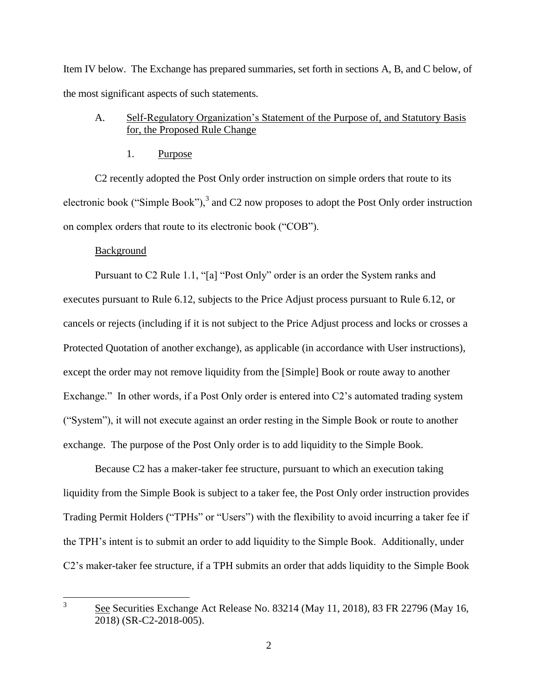Item IV below. The Exchange has prepared summaries, set forth in sections A, B, and C below, of the most significant aspects of such statements.

## A. Self-Regulatory Organization's Statement of the Purpose of, and Statutory Basis for, the Proposed Rule Change

1. Purpose

C2 recently adopted the Post Only order instruction on simple orders that route to its electronic book ("Simple Book"), $3$  and C2 now proposes to adopt the Post Only order instruction on complex orders that route to its electronic book ("COB").

#### Background

Pursuant to C2 Rule 1.1, "[a] "Post Only" order is an order the System ranks and executes pursuant to Rule 6.12, subjects to the Price Adjust process pursuant to Rule 6.12, or cancels or rejects (including if it is not subject to the Price Adjust process and locks or crosses a Protected Quotation of another exchange), as applicable (in accordance with User instructions), except the order may not remove liquidity from the [Simple] Book or route away to another Exchange." In other words, if a Post Only order is entered into C2's automated trading system ("System"), it will not execute against an order resting in the Simple Book or route to another exchange. The purpose of the Post Only order is to add liquidity to the Simple Book.

Because C2 has a maker-taker fee structure, pursuant to which an execution taking liquidity from the Simple Book is subject to a taker fee, the Post Only order instruction provides Trading Permit Holders ("TPHs" or "Users") with the flexibility to avoid incurring a taker fee if the TPH's intent is to submit an order to add liquidity to the Simple Book. Additionally, under C2's maker-taker fee structure, if a TPH submits an order that adds liquidity to the Simple Book

 $\frac{1}{3}$ See Securities Exchange Act Release No. 83214 (May 11, 2018), 83 FR 22796 (May 16, 2018) (SR-C2-2018-005).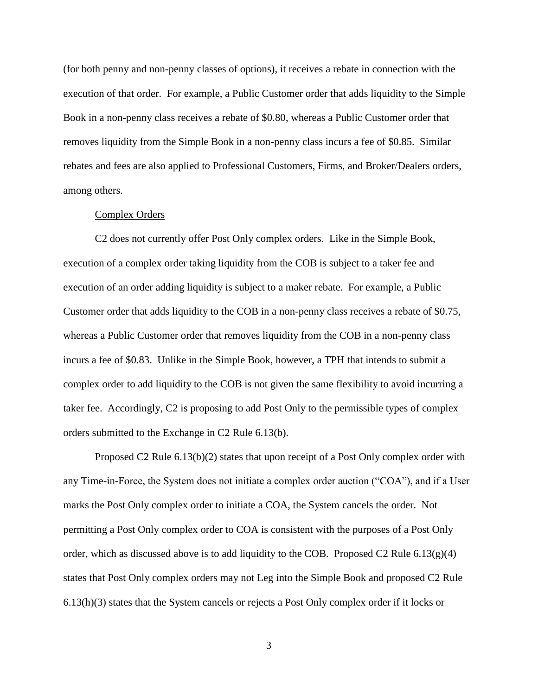(for both penny and non-penny classes of options), it receives a rebate in connection with the execution of that order. For example, a Public Customer order that adds liquidity to the Simple Book in a non-penny class receives a rebate of \$0.80, whereas a Public Customer order that removes liquidity from the Simple Book in a non-penny class incurs a fee of \$0.85. Similar rebates and fees are also applied to Professional Customers, Firms, and Broker/Dealers orders, among others.

#### Complex Orders

C2 does not currently offer Post Only complex orders. Like in the Simple Book, execution of a complex order taking liquidity from the COB is subject to a taker fee and execution of an order adding liquidity is subject to a maker rebate. For example, a Public Customer order that adds liquidity to the COB in a non-penny class receives a rebate of \$0.75, whereas a Public Customer order that removes liquidity from the COB in a non-penny class incurs a fee of \$0.83. Unlike in the Simple Book, however, a TPH that intends to submit a complex order to add liquidity to the COB is not given the same flexibility to avoid incurring a taker fee. Accordingly, C2 is proposing to add Post Only to the permissible types of complex orders submitted to the Exchange in C2 Rule 6.13(b).

Proposed C2 Rule 6.13(b)(2) states that upon receipt of a Post Only complex order with any Time-in-Force, the System does not initiate a complex order auction ("COA"), and if a User marks the Post Only complex order to initiate a COA, the System cancels the order. Not permitting a Post Only complex order to COA is consistent with the purposes of a Post Only order, which as discussed above is to add liquidity to the COB. Proposed C2 Rule 6.13(g)(4) states that Post Only complex orders may not Leg into the Simple Book and proposed C2 Rule 6.13(h)(3) states that the System cancels or rejects a Post Only complex order if it locks or

3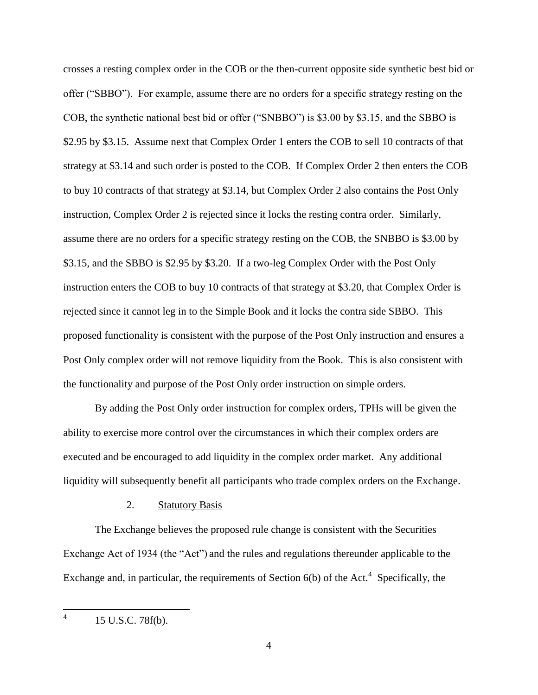crosses a resting complex order in the COB or the then-current opposite side synthetic best bid or offer ("SBBO"). For example, assume there are no orders for a specific strategy resting on the COB, the synthetic national best bid or offer ("SNBBO") is \$3.00 by \$3.15, and the SBBO is \$2.95 by \$3.15. Assume next that Complex Order 1 enters the COB to sell 10 contracts of that strategy at \$3.14 and such order is posted to the COB. If Complex Order 2 then enters the COB to buy 10 contracts of that strategy at \$3.14, but Complex Order 2 also contains the Post Only instruction, Complex Order 2 is rejected since it locks the resting contra order. Similarly, assume there are no orders for a specific strategy resting on the COB, the SNBBO is \$3.00 by \$3.15, and the SBBO is \$2.95 by \$3.20. If a two-leg Complex Order with the Post Only instruction enters the COB to buy 10 contracts of that strategy at \$3.20, that Complex Order is rejected since it cannot leg in to the Simple Book and it locks the contra side SBBO. This proposed functionality is consistent with the purpose of the Post Only instruction and ensures a Post Only complex order will not remove liquidity from the Book. This is also consistent with the functionality and purpose of the Post Only order instruction on simple orders.

By adding the Post Only order instruction for complex orders, TPHs will be given the ability to exercise more control over the circumstances in which their complex orders are executed and be encouraged to add liquidity in the complex order market. Any additional liquidity will subsequently benefit all participants who trade complex orders on the Exchange.

#### 2. Statutory Basis

The Exchange believes the proposed rule change is consistent with the Securities Exchange Act of 1934 (the "Act") and the rules and regulations thereunder applicable to the Exchange and, in particular, the requirements of Section  $6(b)$  of the Act.<sup>4</sup> Specifically, the

 $\frac{1}{4}$ 15 U.S.C. 78f(b).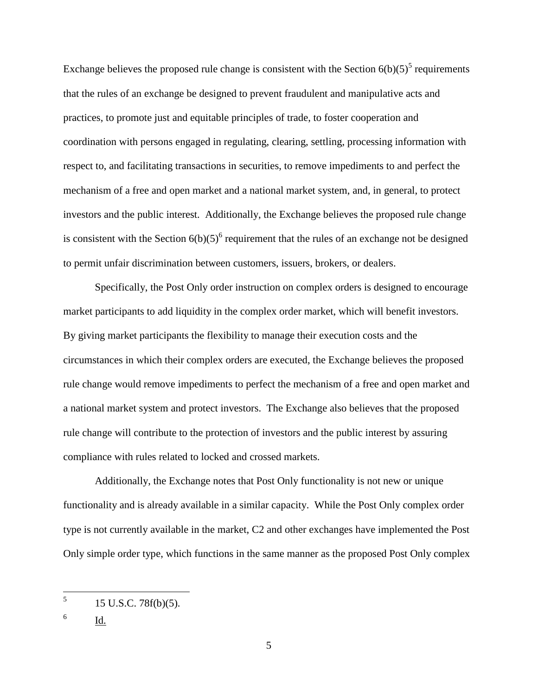Exchange believes the proposed rule change is consistent with the Section  $6(b)(5)^5$  requirements that the rules of an exchange be designed to prevent fraudulent and manipulative acts and practices, to promote just and equitable principles of trade, to foster cooperation and coordination with persons engaged in regulating, clearing, settling, processing information with respect to, and facilitating transactions in securities, to remove impediments to and perfect the mechanism of a free and open market and a national market system, and, in general, to protect investors and the public interest. Additionally, the Exchange believes the proposed rule change is consistent with the Section  $6(b)(5)^6$  requirement that the rules of an exchange not be designed to permit unfair discrimination between customers, issuers, brokers, or dealers.

Specifically, the Post Only order instruction on complex orders is designed to encourage market participants to add liquidity in the complex order market, which will benefit investors. By giving market participants the flexibility to manage their execution costs and the circumstances in which their complex orders are executed, the Exchange believes the proposed rule change would remove impediments to perfect the mechanism of a free and open market and a national market system and protect investors. The Exchange also believes that the proposed rule change will contribute to the protection of investors and the public interest by assuring compliance with rules related to locked and crossed markets.

Additionally, the Exchange notes that Post Only functionality is not new or unique functionality and is already available in a similar capacity. While the Post Only complex order type is not currently available in the market, C2 and other exchanges have implemented the Post Only simple order type, which functions in the same manner as the proposed Post Only complex

Id.

 5 15 U.S.C. 78f(b)(5).

<sup>6</sup>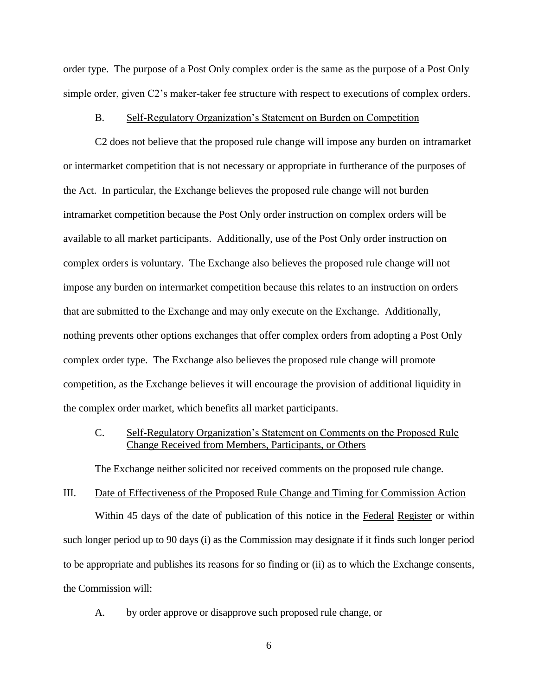order type. The purpose of a Post Only complex order is the same as the purpose of a Post Only simple order, given C2's maker-taker fee structure with respect to executions of complex orders.

#### B. Self-Regulatory Organization's Statement on Burden on Competition

C2 does not believe that the proposed rule change will impose any burden on intramarket or intermarket competition that is not necessary or appropriate in furtherance of the purposes of the Act. In particular, the Exchange believes the proposed rule change will not burden intramarket competition because the Post Only order instruction on complex orders will be available to all market participants. Additionally, use of the Post Only order instruction on complex orders is voluntary. The Exchange also believes the proposed rule change will not impose any burden on intermarket competition because this relates to an instruction on orders that are submitted to the Exchange and may only execute on the Exchange. Additionally, nothing prevents other options exchanges that offer complex orders from adopting a Post Only complex order type. The Exchange also believes the proposed rule change will promote competition, as the Exchange believes it will encourage the provision of additional liquidity in the complex order market, which benefits all market participants.

## C. Self-Regulatory Organization's Statement on Comments on the Proposed Rule Change Received from Members, Participants, or Others

The Exchange neither solicited nor received comments on the proposed rule change.

### III. Date of Effectiveness of the Proposed Rule Change and Timing for Commission Action

Within 45 days of the date of publication of this notice in the Federal Register or within such longer period up to 90 days (i) as the Commission may designate if it finds such longer period to be appropriate and publishes its reasons for so finding or (ii) as to which the Exchange consents, the Commission will:

A. by order approve or disapprove such proposed rule change, or

6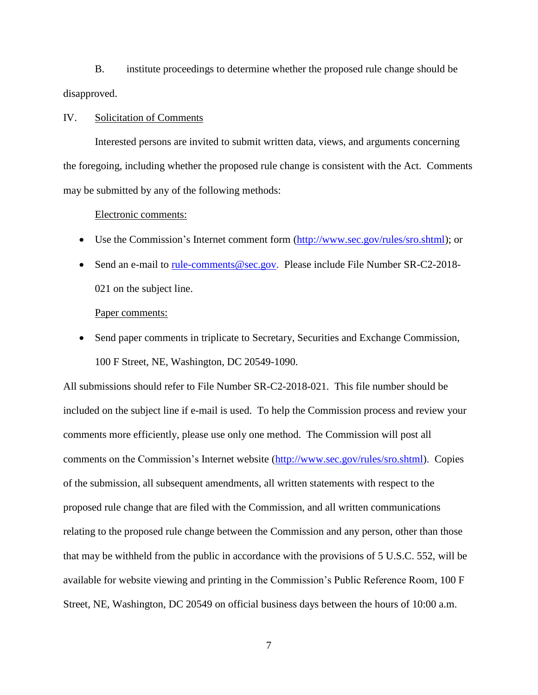B. institute proceedings to determine whether the proposed rule change should be disapproved.

### IV. Solicitation of Comments

Interested persons are invited to submit written data, views, and arguments concerning the foregoing, including whether the proposed rule change is consistent with the Act. Comments may be submitted by any of the following methods:

#### Electronic comments:

- Use the Commission's Internet comment form [\(http://www.sec.gov/rules/sro.shtml\)](http://www.sec.gov/rules/sro.shtml); or
- Send an e-mail to [rule-comments@sec.gov.](mailto:rule-comments@sec.gov) Please include File Number SR-C2-2018-021 on the subject line.

#### Paper comments:

 Send paper comments in triplicate to Secretary, Securities and Exchange Commission, 100 F Street, NE, Washington, DC 20549-1090.

All submissions should refer to File Number SR-C2-2018-021. This file number should be included on the subject line if e-mail is used. To help the Commission process and review your comments more efficiently, please use only one method. The Commission will post all comments on the Commission's Internet website (http://www.sec.gov/rules/sro.shtml). Copies of the submission, all subsequent amendments, all written statements with respect to the proposed rule change that are filed with the Commission, and all written communications relating to the proposed rule change between the Commission and any person, other than those that may be withheld from the public in accordance with the provisions of 5 U.S.C. 552, will be available for website viewing and printing in the Commission's Public Reference Room, 100 F Street, NE, Washington, DC 20549 on official business days between the hours of 10:00 a.m.

7